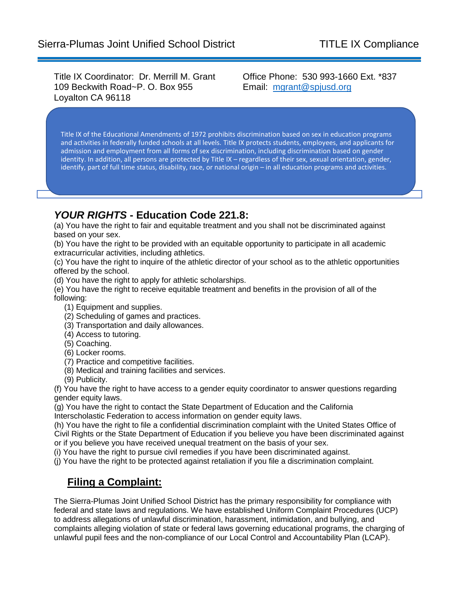Title IX Coordinator: Dr. Merrill M. Grant 109 Beckwith Road~P. O. Box 955 Loyalton CA 96118

Office Phone: 530 993-1660 Ext. \*837 Email: [mgrant@spjusd.org](mailto:mgrant@spjusd.org)

Title IX of the Educational Amendments of 1972 prohibits discrimination based on sex in education programs and activities in federally funded schools at all levels. Title IX protects students, employees, and applicants for admission and employment from all forms of sex discrimination, including discrimination based on gender identity. In addition, all persons are protected by Title IX – regardless of their sex, sexual orientation, gender, identify, part of full time status, disability, race, or national origin – in all education programs and activities.

## *YOUR RIGHTS* **- Education Code 221.8:**

(a) You have the right to fair and equitable treatment and you shall not be discriminated against based on your sex.

(b) You have the right to be provided with an equitable opportunity to participate in all academic extracurricular activities, including athletics.

(c) You have the right to inquire of the athletic director of your school as to the athletic opportunities offered by the school.

(d) You have the right to apply for athletic scholarships.

(e) You have the right to receive equitable treatment and benefits in the provision of all of the following:

- (1) Equipment and supplies.
- (2) Scheduling of games and practices.
- (3) Transportation and daily allowances.
- (4) Access to tutoring.
- (5) Coaching.
- (6) Locker rooms.
- (7) Practice and competitive facilities.
- (8) Medical and training facilities and services.
- (9) Publicity.

(f) You have the right to have access to a gender equity coordinator to answer questions regarding gender equity laws.

(g) You have the right to contact the State Department of Education and the California Interscholastic Federation to access information on gender equity laws.

(h) You have the right to file a confidential discrimination complaint with the United States Office of Civil Rights or the State Department of Education if you believe you have been discriminated against or if you believe you have received unequal treatment on the basis of your sex.

(i) You have the right to pursue civil remedies if you have been discriminated against.

(j) You have the right to be protected against retaliation if you file a discrimination complaint.

## **Filing a Complaint:**

The Sierra-Plumas Joint Unified School District has the primary responsibility for compliance with federal and state laws and regulations. We have established Uniform Complaint Procedures (UCP) to address allegations of unlawful discrimination, harassment, intimidation, and bullying, and complaints alleging violation of state or federal laws governing educational programs, the charging of unlawful pupil fees and the non-compliance of our Local Control and Accountability Plan (LCAP).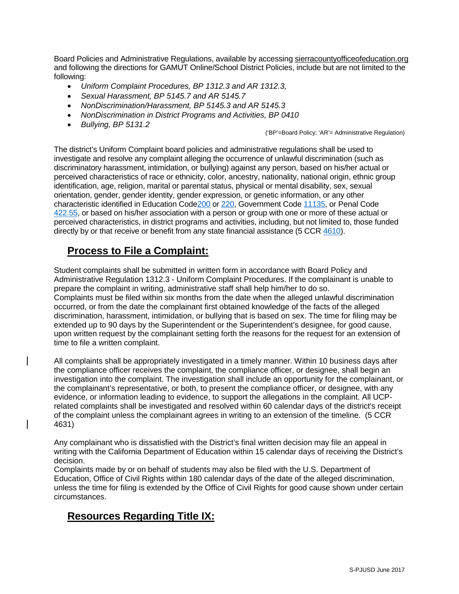Board Policies and Administrative Regulations, available by accessing sierracountyofficeofeducation.org and following the directions for GAMUT Online/School District Policies, include but are not limited to the following:

- *Uniform Complaint Procedures, BP 1312.3 and AR 1312.3,*
- *Sexual Harassment, BP 5145.7 and AR 5145.7*
- *NonDiscrimination/Harassment, BP 5145.3 and AR 5145.3*
- *NonDiscrimination in District Programs and Activities, BP 0410*
- *Bullying, BP 5131.2*

('BP'=Board Policy; 'AR'= Administrative Regulation)

The district's Uniform Complaint board policies and administrative regulations shall be used to investigate and resolve any complaint alleging the occurrence of unlawful discrimination (such as discriminatory harassment, intimidation, or bullying) against any person, based on his/her actual or perceived characteristics of race or ethnicity, color, ancestry, nationality, national origin, ethnic group identification, age, religion, marital or parental status, physical or mental disability, sex, sexual orientation, gender, gender identity, gender expression, or genetic information, or any other characteristic identified in Education Cod[e200](http://gamutonline.net/displayPolicy/138754/) or [220,](http://gamutonline.net/displayPolicy/138763/) Government Code [11135,](http://gamutonline.net/displayPolicy/144547/) or Penal Code [422.55,](http://gamutonline.net/displayPolicy/352313/) or based on his/her association with a person or group with one or more of these actual or perceived characteristics, in district programs and activities, including, but not limited to, those funded directly by or that receive or benefit from any state financial assistance (5 CCR [4610\)](http://gamutonline.net/displayPolicy/187021/).

## **Process to File a Complaint:**

Student complaints shall be submitted in written form in accordance with Board Policy and Administrative Regulation 1312.3 - Uniform Complaint Procedures. If the complainant is unable to prepare the complaint in writing, administrative staff shall help him/her to do so. Complaints must be filed within six months from the date when the alleged unlawful discrimination occurred, or from the date the complainant first obtained knowledge of the facts of the alleged discrimination, harassment, intimidation, or bullying that is based on sex. The time for filing may be extended up to 90 days by the Superintendent or the Superintendent's designee, for good cause, upon written request by the complainant setting forth the reasons for the request for an extension of time to file a written complaint.

All complaints shall be appropriately investigated in a timely manner. Within 10 business days after the compliance officer receives the complaint, the compliance officer, or designee, shall begin an investigation into the complaint. The investigation shall include an opportunity for the complainant, or the complainant's representative, or both, to present the compliance officer, or designee, with any evidence, or information leading to evidence, to support the allegations in the complaint. All UCPrelated complaints shall be investigated and resolved within 60 calendar days of the district's receipt of the complaint unless the complainant agrees in writing to an extension of the timeline. (5 CCR 4631)

Any complainant who is dissatisfied with the District's final written decision may file an appeal in writing with the California Department of Education within 15 calendar days of receiving the District's decision.

Complaints made by or on behalf of students may also be filed with the U.S. Department of Education, Office of Civil Rights within 180 calendar days of the date of the alleged discrimination, unless the time for filing is extended by the Office of Civil Rights for good cause shown under certain circumstances.

# **Resources Regarding Title IX:**